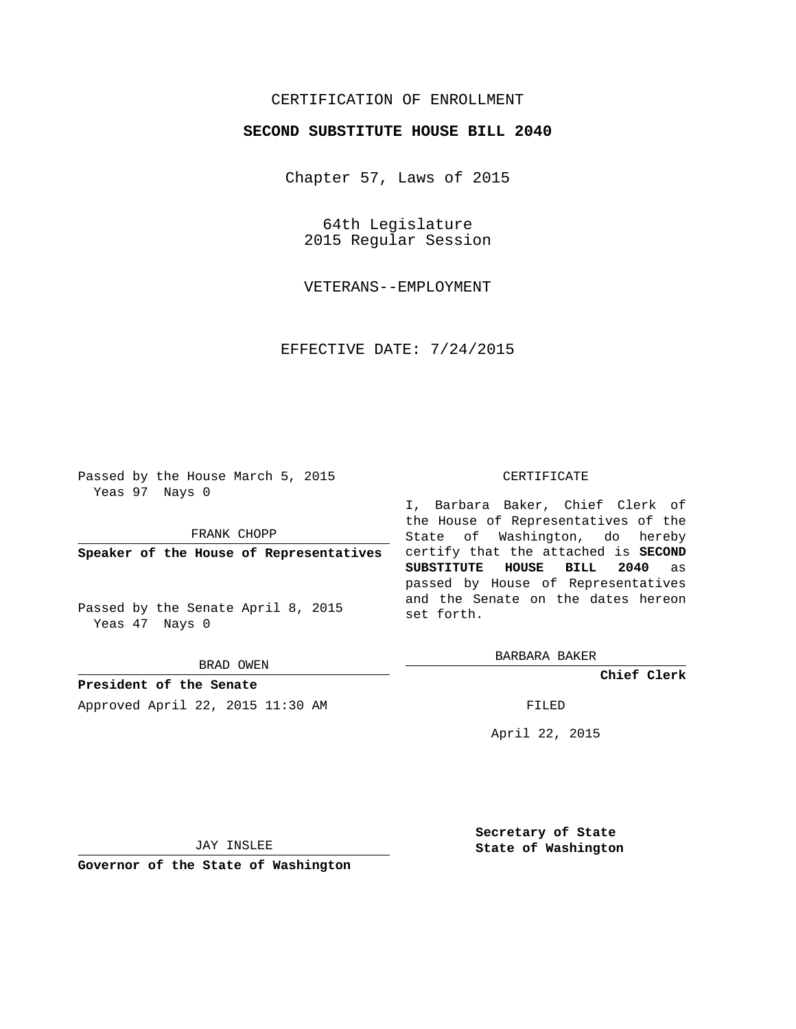## CERTIFICATION OF ENROLLMENT

## **SECOND SUBSTITUTE HOUSE BILL 2040**

Chapter 57, Laws of 2015

64th Legislature 2015 Regular Session

VETERANS--EMPLOYMENT

EFFECTIVE DATE: 7/24/2015

Passed by the House March 5, 2015 Yeas 97 Nays 0

FRANK CHOPP

**Speaker of the House of Representatives**

Passed by the Senate April 8, 2015 Yeas 47 Nays 0

BRAD OWEN

**President of the Senate** Approved April 22, 2015 11:30 AM FILED

## CERTIFICATE

I, Barbara Baker, Chief Clerk of the House of Representatives of the State of Washington, do hereby certify that the attached is **SECOND SUBSTITUTE HOUSE BILL 2040** as passed by House of Representatives and the Senate on the dates hereon set forth.

BARBARA BAKER

**Chief Clerk**

April 22, 2015

JAY INSLEE

**Governor of the State of Washington**

**Secretary of State State of Washington**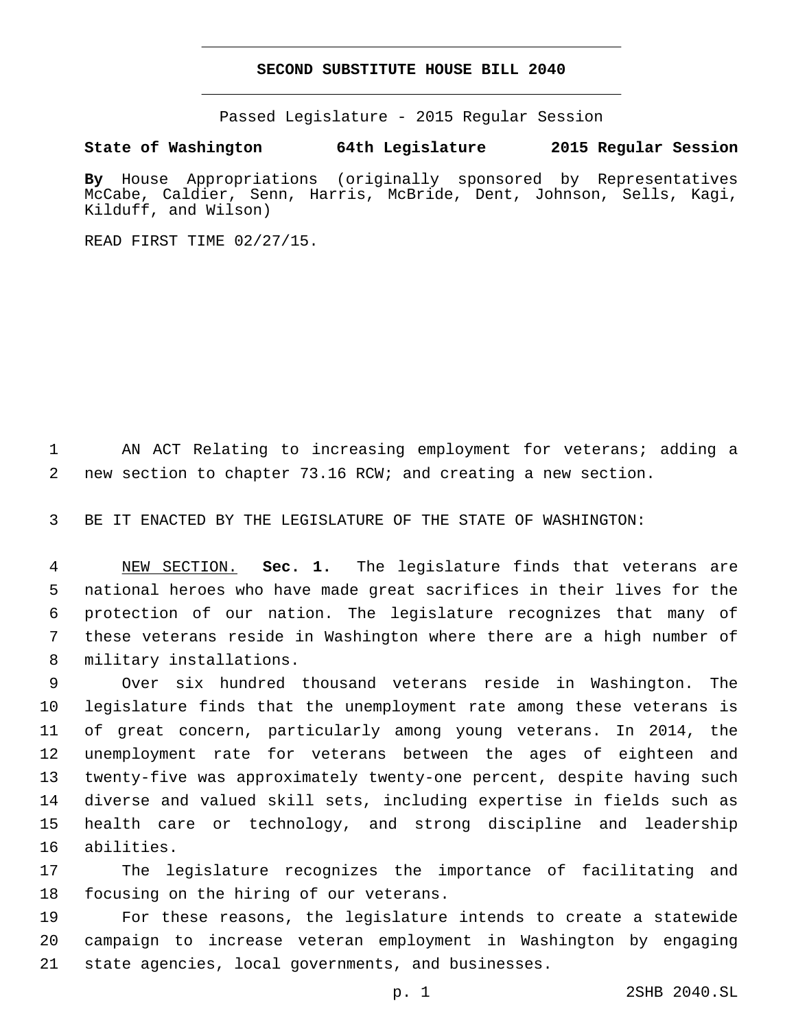## **SECOND SUBSTITUTE HOUSE BILL 2040**

Passed Legislature - 2015 Regular Session

**State of Washington 64th Legislature 2015 Regular Session**

**By** House Appropriations (originally sponsored by Representatives McCabe, Caldier, Senn, Harris, McBride, Dent, Johnson, Sells, Kagi, Kilduff, and Wilson)

READ FIRST TIME 02/27/15.

 AN ACT Relating to increasing employment for veterans; adding a new section to chapter 73.16 RCW; and creating a new section.

BE IT ENACTED BY THE LEGISLATURE OF THE STATE OF WASHINGTON:

 NEW SECTION. **Sec. 1.** The legislature finds that veterans are national heroes who have made great sacrifices in their lives for the protection of our nation. The legislature recognizes that many of these veterans reside in Washington where there are a high number of military installations.

 Over six hundred thousand veterans reside in Washington. The legislature finds that the unemployment rate among these veterans is of great concern, particularly among young veterans. In 2014, the unemployment rate for veterans between the ages of eighteen and twenty-five was approximately twenty-one percent, despite having such diverse and valued skill sets, including expertise in fields such as health care or technology, and strong discipline and leadership 16 abilities.

 The legislature recognizes the importance of facilitating and 18 focusing on the hiring of our veterans.

 For these reasons, the legislature intends to create a statewide campaign to increase veteran employment in Washington by engaging state agencies, local governments, and businesses.